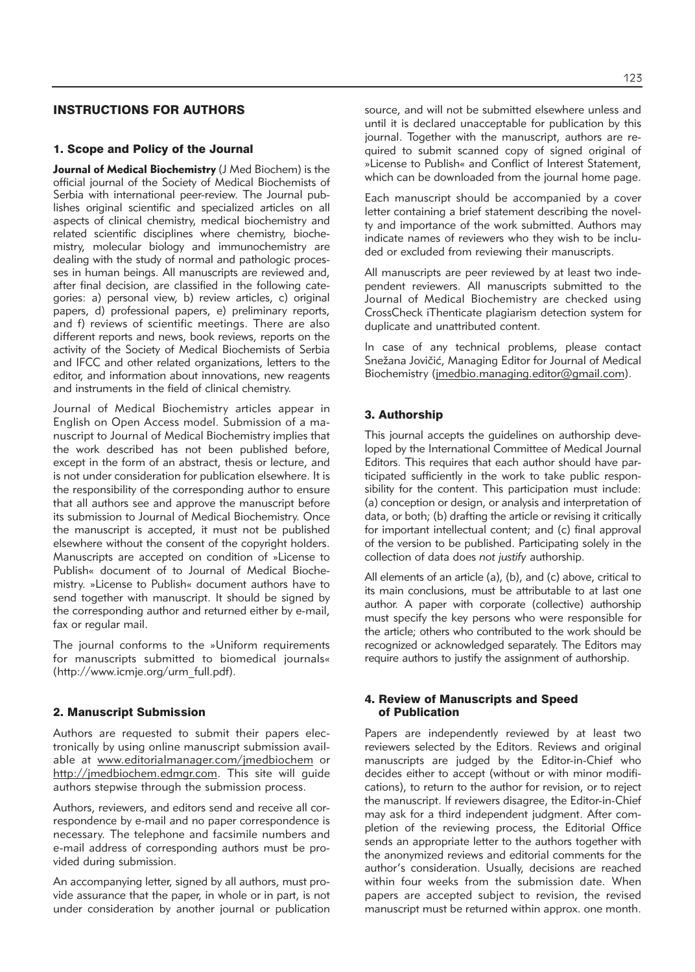# INSTRUCTIONS FOR AUTHORS

#### 1. Scope and Policy of the Journal

**Journal of Medical Biochemistry** (J Med Biochem) is the official journal of the Society of Medical Biochemists of Serbia with international peer-review. The Journal publishes original scientific and specialized articles on all aspects of clinical chemistry, medical biochemistry and related scientific disciplines where chemistry, biochemistry, molecular biology and immunochemistry are dealing with the study of normal and pathologic processes in human beings. All manuscripts are reviewed and, after final decision, are classified in the following categories: a) personal view, b) review articles, c) original papers, d) professional papers, e) preliminary reports, and f) reviews of scientific meetings. There are also different reports and news, book reviews, reports on the activity of the Society of Medical Biochemists of Serbia and IFCC and other related organizations, letters to the editor, and information about innovations, new reagents and instruments in the field of clinical chemistry.

Journal of Medical Biochemistry articles appear in English on Open Access model. Submission of a manu script to Journal of Medical Biochemistry implies that the work described has not been published before, except in the form of an abstract, thesis or lecture, and is not under consideration for publication elsewhere. It is the responsibility of the corresponding author to ensure that all authors see and approve the manuscript before its submission to Journal of Medical Biochemistry. Once the manuscript is accepted, it must not be published elsewhere without the consent of the copyright holders. Manuscripts are accepted on condition of »License to Publish« document of to Journal of Medical Biochemistry. »License to Publish« document authors have to send together with manuscript. It should be signed by the corresponding author and returned either by e-mail, fax or regular mail.

The journal conforms to the »Uniform requirements for manuscripts submitted to biomedical journals« (http://www.icmje.org/urm\_full.pdf).

#### 2. Manuscript Submission

Authors are requested to submit their papers electronically by using online manuscript submission available at www.editorialmanager.com/jmedbiochem or http://jmedbiochem.edmgr.com. This site will guide authors stepwise through the submission process.

Authors, reviewers, and editors send and receive all correspondence by e-mail and no paper correspondence is necessary. The telephone and facsimile numbers and e-mail address of corresponding authors must be provided during submission.

An accompanying letter, signed by all authors, must provide assurance that the paper, in whole or in part, is not under consideration by another journal or publication source, and will not be submitted elsewhere unless and until it is declared unacceptable for publication by this journal. Together with the manuscript, authors are required to submit scanned copy of signed original of »License to Publish« and Conflict of Interest Statement, which can be downloaded from the journal home page.

Each manuscript should be accompanied by a cover letter containing a brief statement describing the novelty and importance of the work submitted. Authors may indicate names of reviewers who they wish to be included or excluded from reviewing their manuscripts.

All manuscripts are peer reviewed by at least two independent reviewers. All manuscripts submitted to the Journal of Medical Biochemistry are checked using CrossCheck iThenticate plagiarism detection system for duplicate and unattributed content.

In case of any technical problems, please contact Snežana Jovičić, Managing Editor for Journal of Medical Biochemistry (jmedbio.managing.editor@gmail.com).

## 3. Authorship

This journal accepts the guidelines on authorship developed by the International Committee of Medical Journal Editors. This requires that each author should have participated sufficiently in the work to take public responsibility for the content. This participation must include: (a) conception or design, or analysis and interpretation of data, or both; (b) drafting the article or revising it critically for important intellectual content; and (c) final approval of the version to be published. Participating solely in the collection of data does *not justify* authorship.

All elements of an article (a), (b), and (c) above, critical to its main conclusions, must be attributable to at last one author. A paper with corporate (collective) authorship must specify the key persons who were responsible for the article; others who contributed to the work should be re cognized or acknowledged separately. The Editors may require authors to justify the assignment of authorship.

#### 4. Review of Manuscripts and Speed of Publication

Papers are independently reviewed by at least two reviewers selected by the Editors. Reviews and original manuscripts are judged by the Editor-in-Chief who decides either to accept (without or with minor modifications), to return to the author for revision, or to reject the manuscript. If reviewers disagree, the Editor-in-Chief may ask for a third independent judgment. After completion of the reviewing process, the Editorial Office sends an appropriate letter to the authors together with the anonymized reviews and editorial comments for the author's consideration. Usually, decisions are reached within four weeks from the submission date. When papers are accepted subject to revision, the revised manuscript must be returned within approx. one month.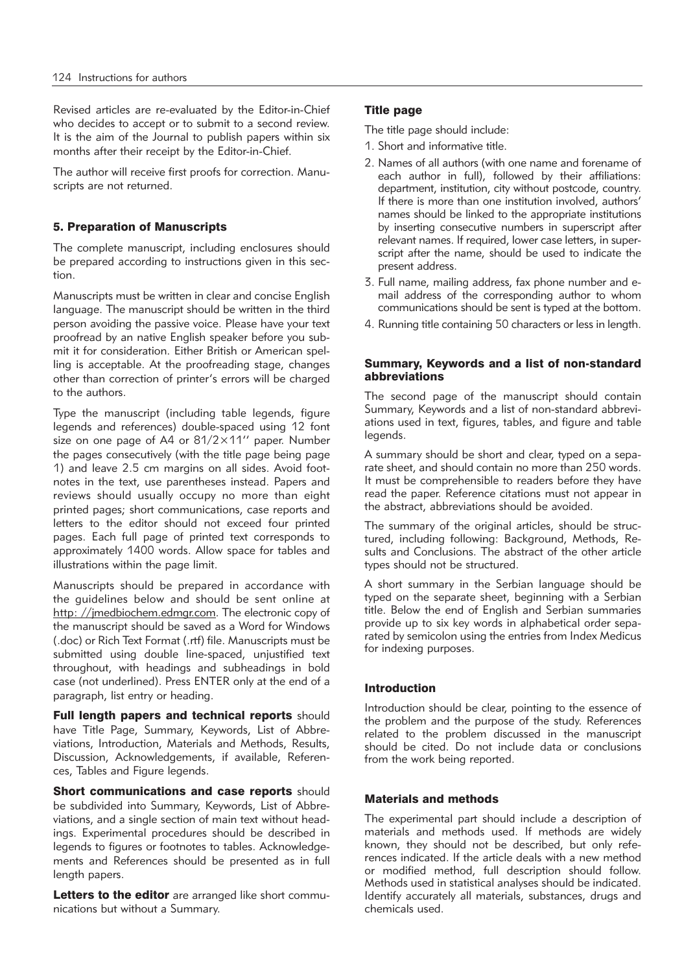Revised articles are re-evaluated by the Editor-in-Chief who decides to accept or to submit to a second review. It is the aim of the Journal to publish papers within six months after their receipt by the Editor-in-Chief.

The author will receive first proofs for correction. Manuscripts are not returned.

## 5. Preparation of Manuscripts

The complete manuscript, including enclosures should be prepared according to instructions given in this section.

Manuscripts must be written in clear and concise English language. The manuscript should be written in the third person avoiding the passive voice. Please have your text proofread by an native English speaker before you submit it for consideration. Either British or American spelling is acceptable. At the proofreading stage, changes other than correction of printer's errors will be charged to the authors.

Type the manuscript (including table legends, figure legends and references) double-spaced using 12 font size on one page of A4 or 81/2×11'' paper. Number the pages consecutively (with the title page being page 1) and leave 2.5 cm margins on all sides. Avoid footnotes in the text, use parentheses instead. Papers and reviews should usually occupy no more than eight printed pages; short communications, case reports and letters to the editor should not exceed four printed pages. Each full page of printed text corresponds to approximately 1400 words. Allow space for tables and illustrations within the page limit.

Manuscripts should be prepared in accordance with the guidelines below and should be sent online at http: //jmedbiochem.edmgr.com. The electronic copy of the manuscript should be saved as a Word for Windows (.doc) or Rich Text Format (.rtf) file. Manuscripts must be submitted using double line-spaced, unjustified text throughout, with headings and subheadings in bold case (not underlined). Press ENTER only at the end of a paragraph, list entry or heading.

Full length papers and technical reports should have Title Page, Summary, Keywords, List of Abbreviations, Introduction, Materials and Methods, Results, Discussion, Acknowledgements, if available, References, Tables and Figure legends.

Short communications and case reports should be subdivided into Summary, Keywords, List of Abbreviations, and a single section of main text without headings. Experimental procedures should be described in legends to figures or footnotes to tables. Acknowledgements and References should be presented as in full length papers.

Letters to the editor are arranged like short communications but without a Summary.

## Title page

The title page should include:

- 1. Short and informative title.
- 2. Names of all authors (with one name and forename of each author in full), followed by their affiliations: department, institution, city without postcode, country. If there is more than one institution involved, authors' names should be linked to the appropriate institutions by inserting consecutive numbers in superscript after relevant names. If required, lower case letters, in superscript after the name, should be used to indicate the present address.
- 3. Full name, mailing address, fax phone number and email address of the corresponding author to whom communications should be sent is typed at the bottom.
- 4. Running title containing 50 characters or less in length.

#### Summary, Keywords and a list of non-standard abbreviations

The second page of the manuscript should contain Summary, Keywords and a list of non-standard abbreviations used in text, figures, tables, and figure and table legends.

A summary should be short and clear, typed on a separate sheet, and should contain no more than 250 words. It must be comprehensible to readers before they have read the paper. Reference citations must not appear in the abstract, abbreviations should be avoided.

The summary of the original articles, should be structured, including following: Background, Methods, Results and Conclusions. The abstract of the other article types should not be structured.

A short summary in the Serbian language should be typed on the separate sheet, beginning with a Serbian title. Below the end of English and Serbian summaries provide up to six key words in alphabetical order separated by semicolon using the entries from Index Medicus for indexing purposes.

## Introduction

Introduction should be clear, pointing to the essence of the problem and the purpose of the study. References related to the problem discussed in the manuscript should be cited. Do not include data or conclusions from the work being reported.

#### Materials and methods

The experimental part should include a description of materials and methods used. If methods are widely known, they should not be described, but only references indicated. If the article deals with a new method or modified method, full description should follow. Methods used in statistical analyses should be indicated. Identify accurately all materials, substances, drugs and chemicals used.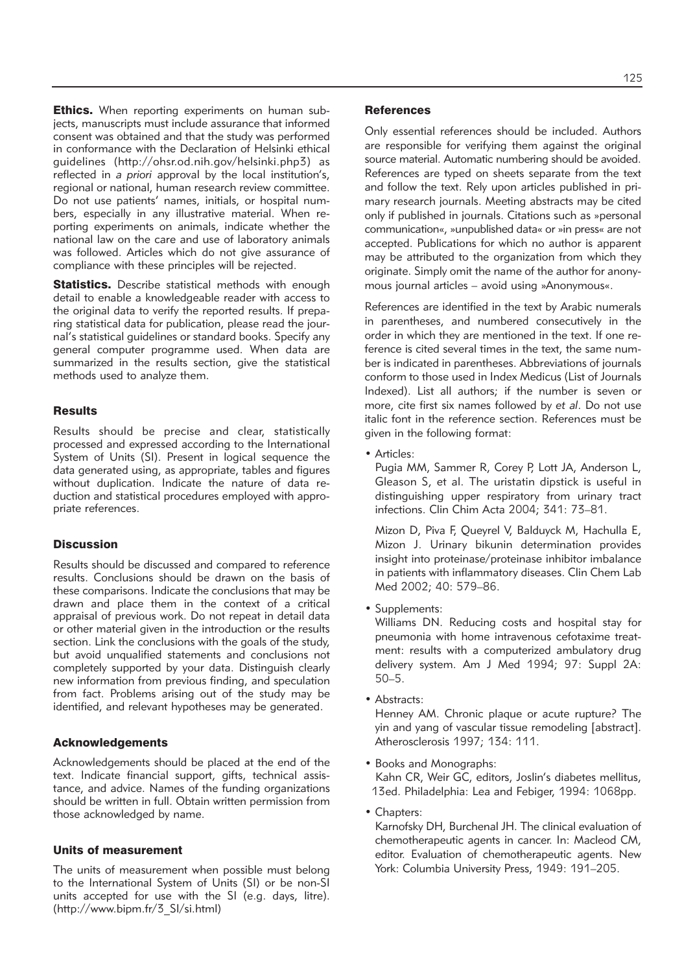**Ethics.** When reporting experiments on human subjects, manuscripts must include assurance that informed consent was obtained and that the study was performed in conformance with the Declaration of Helsinki ethical guidelines (http://ohsr.od.nih.gov/helsinki.php3) as reflected in *a priori* approval by the local institution's, regional or national, human research review committee. Do not use patients' names, initials, or hospital numbers, especially in any illustrative material. When reporting experiments on animals, indicate whether the national law on the care and use of laboratory animals was followed. Articles which do not give assurance of compliance with these principles will be rejected.

Statistics. Describe statistical methods with enough detail to enable a knowledgeable reader with access to the original data to verify the reported results. If preparing statistical data for publication, please read the journal's statistical guidelines or standard books. Specify any general computer programme used. When data are summarized in the results section, give the statistical methods used to analyze them.

#### **Results**

Results should be precise and clear, statistically processed and expressed according to the International System of Units (SI). Present in logical sequence the data generated using, as appropriate, tables and figures without duplication. Indicate the nature of data reduction and statistical procedures employed with appropriate references.

### **Discussion**

Results should be discussed and compared to reference results. Conclusions should be drawn on the basis of these comparisons. Indicate the conclusions that may be drawn and place them in the context of a critical appraisal of previous work. Do not repeat in detail data or other material given in the introduction or the results section. Link the conclusions with the goals of the study, but avoid unqualified statements and conclusions not completely supported by your data. Distinguish clearly new information from previous finding, and speculation from fact. Problems arising out of the study may be identified, and relevant hypotheses may be generated.

#### Acknowledgements

Acknowledgements should be placed at the end of the text. Indicate financial support, gifts, technical assistance, and advice. Names of the funding organizations should be written in full. Obtain written permission from those acknowledged by name.

### Units of measurement

The units of measurement when possible must belong to the International System of Units (SI) or be non-SI units accepted for use with the SI (e.g. days, litre). (http://www.bipm.fr/3\_SI/si.html)

#### **References**

Only essential references should be included. Authors are responsible for verifying them against the original source material. Automatic numbering should be avoided. References are typed on sheets separate from the text and follow the text. Rely upon articles published in primary research journals. Meeting abstracts may be cited only if published in journals. Citations such as »personal communication«, »unpublished data« or »in press« are not accepted. Publications for which no author is apparent may be attributed to the organization from which they originate. Simply omit the name of the author for anonymous journal articles – avoid using »Anonymous«.

References are identified in the text by Arabic numerals in parentheses, and numbered consecutively in the order in which they are mentioned in the text. If one reference is cited several times in the text, the same number is indicated in parentheses. Abbreviations of journals conform to those used in Index Medicus (List of Journals Indexed). List all authors; if the number is seven or more, cite first six names followed by *et al*. Do not use italic font in the reference section. References must be given in the following format:

• Articles:

Pugia MM, Sammer R, Corey P, Lott JA, Anderson L, Gleason S, et al. The uristatin dipstick is useful in distinguishing upper respiratory from urinary tract infections. Clin Chim Acta 2004; 341: 73–81.

Mizon D, Piva F, Queyrel V, Balduyck M, Hachulla E, Mizon J. Urinary bikunin determination provides insight into proteinase/proteinase inhibitor imbalance in patients with inflammatory diseases. Clin Chem Lab Med 2002; 40: 579–86.

• Supplements:

Williams DN. Reducing costs and hospital stay for pneumonia with home intravenous cefotaxime treatment: results with a computerized ambulatory drug delivery system. Am J Med 1994; 97: Suppl 2A: 50–5.

• Abstracts:

Henney AM. Chronic plaque or acute rupture? The yin and yang of vascular tissue remodeling [abstract]. Atherosclerosis 1997; 134: 111.

• Books and Monographs: Kahn CR, Weir GC, editors, Joslin's diabetes mellitus,

13ed. Philadelphia: Lea and Febiger, 1994: 1068pp.

• Chapters:

Karnofsky DH, Burchenal JH. The clinical evaluation of chemotherapeutic agents in cancer. In: Macleod CM, editor. Evaluation of chemotherapeutic agents. New York: Columbia University Press, 1949: 191–205.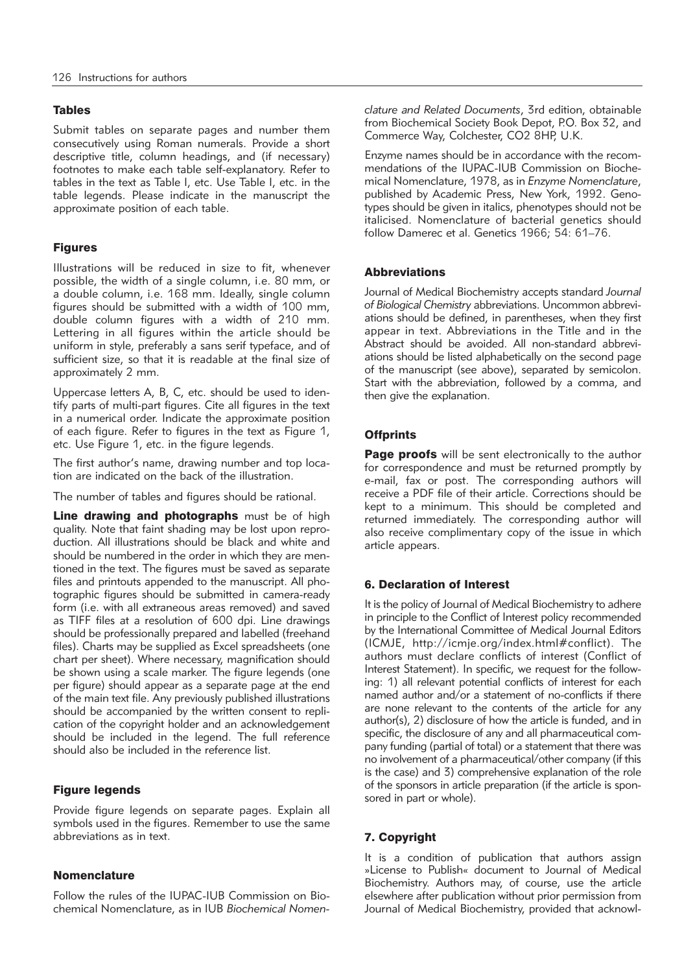### Tables

Submit tables on separate pages and number them consecutively using Roman numerals. Provide a short descriptive title, column headings, and (if necessary) footnotes to make each table self-explanatory. Refer to tables in the text as Table I, etc. Use Table I, etc. in the table legends. Please indicate in the manuscript the approximate position of each table.

# Figures

Illustrations will be reduced in size to fit, whenever possible, the width of a single column, i.e. 80 mm, or a double column, i.e. 168 mm. Ideally, single column figures should be submitted with a width of 100 mm, double column figures with a width of 210 mm. Lettering in all figures within the article should be uniform in style, preferably a sans serif typeface, and of sufficient size, so that it is readable at the final size of approximately 2 mm.

Uppercase letters A, B, C, etc. should be used to identify parts of multi-part figures. Cite all figures in the text in a numerical order. Indicate the approximate position of each figure. Refer to figures in the text as Figure 1, etc. Use Figure 1, etc. in the figure legends.

The first author's name, drawing number and top location are indicated on the back of the illustration.

The number of tables and figures should be rational.

Line drawing and photographs must be of high quality. Note that faint shading may be lost upon reproduction. All illustrations should be black and white and should be numbered in the order in which they are mentioned in the text. The figures must be saved as separate files and printouts appended to the manuscript. All photographic figures should be submitted in camera-ready form (i.e. with all extraneous areas removed) and saved as TIFF files at a resolution of 600 dpi. Line drawings should be professionally prepared and labelled (freehand files). Charts may be supplied as Excel spreadsheets (one chart per sheet). Where necessary, magnification should be shown using a scale marker. The figure legends (one per figure) should appear as a separate page at the end of the main text file. Any previously published illustrations should be accompanied by the written consent to replication of the copyright holder and an acknowledgement should be included in the legend. The full reference should also be included in the reference list.

# Figure legends

Provide figure legends on separate pages. Explain all symbols used in the figures. Remember to use the same abbreviations as in text.

# **Nomenclature**

Follow the rules of the IUPAC-IUB Commission on Biochemical Nomenclature, as in IUB *Biochemical Nomen -* *clature and Related Documents*, 3rd edition, obtainable from Biochemical Society Book Depot, P.O. Box 32, and Commerce Way, Colchester, CO2 8HP, U.K.

Enzyme names should be in accordance with the recommendations of the IUPAC-IUB Commission on Biochemical Nomenclature, 1978, as in *Enzyme Nomenclature*, published by Academic Press, New York, 1992. Genotypes should be given in italics, phenotypes should not be italicised. Nomenclature of bacterial genetics should follow Damerec et al. Genetics 1966; 54: 61–76.

## **Abbreviations**

Journal of Medical Biochemistry accepts standard *Journal* of Biological Chemistry abbreviations. Uncommon abbreviations should be defined, in parentheses, when they first appear in text. Abbreviations in the Title and in the Abstract should be avoided. All non-standard abbreviations should be listed alphabetically on the second page of the manuscript (see above), separated by semicolon. Start with the abbreviation, followed by a comma, and then give the explanation.

# **Offprints**

Page proofs will be sent electronically to the author for correspondence and must be returned promptly by e-mail, fax or post. The corresponding authors will receive a PDF file of their article. Corrections should be kept to a minimum. This should be completed and returned immediately. The corresponding author will also receive complimentary copy of the issue in which article appears.

# 6. Declaration of Interest

It is the policy of Journal of Medical Biochemistry to adhere in principle to the Conflict of Interest policy recommended by the International Committee of Medical Journal Editors (ICMJE, http://icmje.org/index.html#conflict). The authors must declare conflicts of interest (Conflict of Interest Statement). In specific, we request for the following: 1) all relevant potential conflicts of interest for each named author and/or a statement of no-conflicts if there are none relevant to the contents of the article for any author(s), 2) disclosure of how the article is funded, and in specific, the disclosure of any and all pharmaceutical company funding (partial of total) or a statement that there was no involvement of a pharmaceutical/other company (if this is the case) and 3) comprehensive explanation of the role of the sponsors in article preparation (if the article is sponsored in part or whole).

# 7. Copyright

It is a condition of publication that authors assign »License to Publish« document to Journal of Medical Biochemistry. Authors may, of course, use the article elsewhere after publication without prior permission from Journal of Medical Biochemistry, provided that acknowl